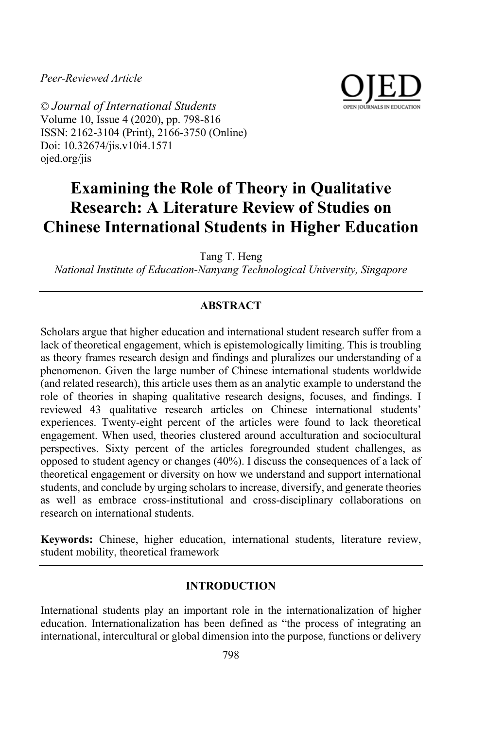*Peer-Reviewed Article*



© *Journal of International Students* Volume 10, Issue 4 (2020), pp. 798-816 ISSN: 2162-3104 (Print), 2166-3750 (Online) Doi: 10.32674/jis.v10i4.1571 ojed.org/jis

# **Examining the Role of Theory in Qualitative Research: A Literature Review of Studies on Chinese International Students in Higher Education**

Tang T. Heng

*National Institute of Education-Nanyang Technological University, Singapore* 

## **ABSTRACT**

Scholars argue that higher education and international student research suffer from a lack of theoretical engagement, which is epistemologically limiting. This is troubling as theory frames research design and findings and pluralizes our understanding of a phenomenon. Given the large number of Chinese international students worldwide (and related research), this article uses them as an analytic example to understand the role of theories in shaping qualitative research designs, focuses, and findings. I reviewed 43 qualitative research articles on Chinese international students' experiences. Twenty-eight percent of the articles were found to lack theoretical engagement. When used, theories clustered around acculturation and sociocultural perspectives. Sixty percent of the articles foregrounded student challenges, as opposed to student agency or changes (40%). I discuss the consequences of a lack of theoretical engagement or diversity on how we understand and support international students, and conclude by urging scholars to increase, diversify, and generate theories as well as embrace cross-institutional and cross-disciplinary collaborations on research on international students.

**Keywords:** Chinese, higher education, international students, literature review, student mobility, theoretical framework

#### **INTRODUCTION**

International students play an important role in the internationalization of higher education. Internationalization has been defined as "the process of integrating an international, intercultural or global dimension into the purpose, functions or delivery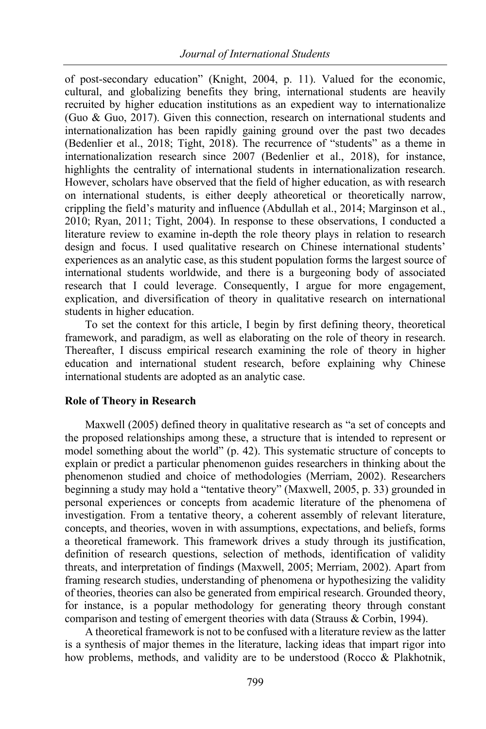of post-secondary education" (Knight, 2004, p. 11). Valued for the economic, cultural, and globalizing benefits they bring, international students are heavily recruited by higher education institutions as an expedient way to internationalize (Guo & Guo, 2017). Given this connection, research on international students and internationalization has been rapidly gaining ground over the past two decades (Bedenlier et al., 2018; Tight, 2018). The recurrence of "students" as a theme in internationalization research since 2007 (Bedenlier et al., 2018), for instance, highlights the centrality of international students in internationalization research. However, scholars have observed that the field of higher education, as with research on international students, is either deeply atheoretical or theoretically narrow, crippling the field's maturity and influence (Abdullah et al., 2014; Marginson et al., 2010; Ryan, 2011; Tight, 2004). In response to these observations, I conducted a literature review to examine in-depth the role theory plays in relation to research design and focus. I used qualitative research on Chinese international students' experiences as an analytic case, as this student population forms the largest source of international students worldwide, and there is a burgeoning body of associated research that I could leverage. Consequently, I argue for more engagement, explication, and diversification of theory in qualitative research on international students in higher education.

To set the context for this article, I begin by first defining theory, theoretical framework, and paradigm, as well as elaborating on the role of theory in research. Thereafter, I discuss empirical research examining the role of theory in higher education and international student research, before explaining why Chinese international students are adopted as an analytic case.

## **Role of Theory in Research**

Maxwell (2005) defined theory in qualitative research as "a set of concepts and the proposed relationships among these, a structure that is intended to represent or model something about the world" (p. 42). This systematic structure of concepts to explain or predict a particular phenomenon guides researchers in thinking about the phenomenon studied and choice of methodologies (Merriam, 2002). Researchers beginning a study may hold a "tentative theory" (Maxwell, 2005, p. 33) grounded in personal experiences or concepts from academic literature of the phenomena of investigation. From a tentative theory, a coherent assembly of relevant literature, concepts, and theories, woven in with assumptions, expectations, and beliefs, forms a theoretical framework. This framework drives a study through its justification, definition of research questions, selection of methods, identification of validity threats, and interpretation of findings (Maxwell, 2005; Merriam, 2002). Apart from framing research studies, understanding of phenomena or hypothesizing the validity of theories, theories can also be generated from empirical research. Grounded theory, for instance, is a popular methodology for generating theory through constant comparison and testing of emergent theories with data (Strauss & Corbin, 1994).

A theoretical framework is not to be confused with a literature review as the latter is a synthesis of major themes in the literature, lacking ideas that impart rigor into how problems, methods, and validity are to be understood (Rocco & Plakhotnik,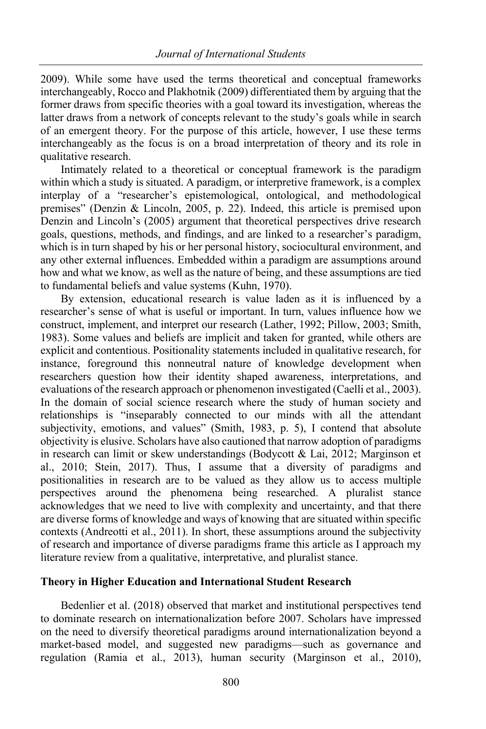2009). While some have used the terms theoretical and conceptual frameworks interchangeably, Rocco and Plakhotnik (2009) differentiated them by arguing that the former draws from specific theories with a goal toward its investigation, whereas the latter draws from a network of concepts relevant to the study's goals while in search of an emergent theory. For the purpose of this article, however, I use these terms interchangeably as the focus is on a broad interpretation of theory and its role in qualitative research.

Intimately related to a theoretical or conceptual framework is the paradigm within which a study is situated. A paradigm, or interpretive framework, is a complex interplay of a "researcher's epistemological, ontological, and methodological premises" (Denzin & Lincoln, 2005, p. 22). Indeed, this article is premised upon Denzin and Lincoln's (2005) argument that theoretical perspectives drive research goals, questions, methods, and findings, and are linked to a researcher's paradigm, which is in turn shaped by his or her personal history, sociocultural environment, and any other external influences. Embedded within a paradigm are assumptions around how and what we know, as well as the nature of being, and these assumptions are tied to fundamental beliefs and value systems (Kuhn, 1970).

By extension, educational research is value laden as it is influenced by a researcher's sense of what is useful or important. In turn, values influence how we construct, implement, and interpret our research (Lather, 1992; Pillow, 2003; Smith, 1983). Some values and beliefs are implicit and taken for granted, while others are explicit and contentious. Positionality statements included in qualitative research, for instance, foreground this nonneutral nature of knowledge development when researchers question how their identity shaped awareness, interpretations, and evaluations of the research approach or phenomenon investigated (Caelli et al., 2003). In the domain of social science research where the study of human society and relationships is "inseparably connected to our minds with all the attendant subjectivity, emotions, and values" (Smith, 1983, p. 5), I contend that absolute objectivity is elusive. Scholars have also cautioned that narrow adoption of paradigms in research can limit or skew understandings (Bodycott & Lai, 2012; Marginson et al., 2010; Stein, 2017). Thus, I assume that a diversity of paradigms and positionalities in research are to be valued as they allow us to access multiple perspectives around the phenomena being researched. A pluralist stance acknowledges that we need to live with complexity and uncertainty, and that there are diverse forms of knowledge and ways of knowing that are situated within specific contexts (Andreotti et al., 2011). In short, these assumptions around the subjectivity of research and importance of diverse paradigms frame this article as I approach my literature review from a qualitative, interpretative, and pluralist stance.

## **Theory in Higher Education and International Student Research**

Bedenlier et al. (2018) observed that market and institutional perspectives tend to dominate research on internationalization before 2007. Scholars have impressed on the need to diversify theoretical paradigms around internationalization beyond a market-based model, and suggested new paradigms—such as governance and regulation (Ramia et al., 2013), human security (Marginson et al., 2010),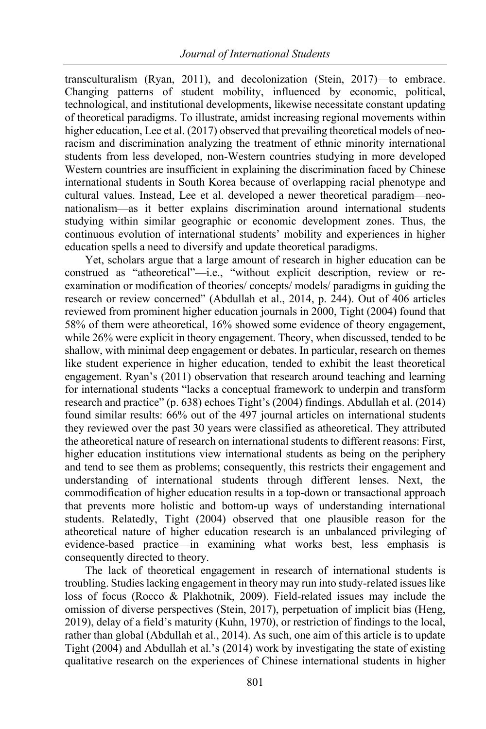transculturalism (Ryan, 2011), and decolonization (Stein, 2017)—to embrace. Changing patterns of student mobility, influenced by economic, political, technological, and institutional developments, likewise necessitate constant updating of theoretical paradigms. To illustrate, amidst increasing regional movements within higher education, Lee et al. (2017) observed that prevailing theoretical models of neoracism and discrimination analyzing the treatment of ethnic minority international students from less developed, non-Western countries studying in more developed Western countries are insufficient in explaining the discrimination faced by Chinese international students in South Korea because of overlapping racial phenotype and cultural values. Instead, Lee et al. developed a newer theoretical paradigm—neonationalism—as it better explains discrimination around international students studying within similar geographic or economic development zones. Thus, the continuous evolution of international students' mobility and experiences in higher education spells a need to diversify and update theoretical paradigms.

Yet, scholars argue that a large amount of research in higher education can be construed as "atheoretical"—i.e., "without explicit description, review or reexamination or modification of theories/ concepts/ models/ paradigms in guiding the research or review concerned" (Abdullah et al., 2014, p. 244). Out of 406 articles reviewed from prominent higher education journals in 2000, Tight (2004) found that 58% of them were atheoretical, 16% showed some evidence of theory engagement, while 26% were explicit in theory engagement. Theory, when discussed, tended to be shallow, with minimal deep engagement or debates. In particular, research on themes like student experience in higher education, tended to exhibit the least theoretical engagement. Ryan's (2011) observation that research around teaching and learning for international students "lacks a conceptual framework to underpin and transform research and practice" (p. 638) echoes Tight's (2004) findings. Abdullah et al. (2014) found similar results: 66% out of the 497 journal articles on international students they reviewed over the past 30 years were classified as atheoretical. They attributed the atheoretical nature of research on international students to different reasons: First, higher education institutions view international students as being on the periphery and tend to see them as problems; consequently, this restricts their engagement and understanding of international students through different lenses. Next, the commodification of higher education results in a top-down or transactional approach that prevents more holistic and bottom-up ways of understanding international students. Relatedly, Tight (2004) observed that one plausible reason for the atheoretical nature of higher education research is an unbalanced privileging of evidence-based practice—in examining what works best, less emphasis is consequently directed to theory.

The lack of theoretical engagement in research of international students is troubling. Studies lacking engagement in theory may run into study-related issues like loss of focus (Rocco & Plakhotnik, 2009). Field-related issues may include the omission of diverse perspectives (Stein, 2017), perpetuation of implicit bias (Heng, 2019), delay of a field's maturity (Kuhn, 1970), or restriction of findings to the local, rather than global (Abdullah et al., 2014). As such, one aim of this article is to update Tight (2004) and Abdullah et al.'s (2014) work by investigating the state of existing qualitative research on the experiences of Chinese international students in higher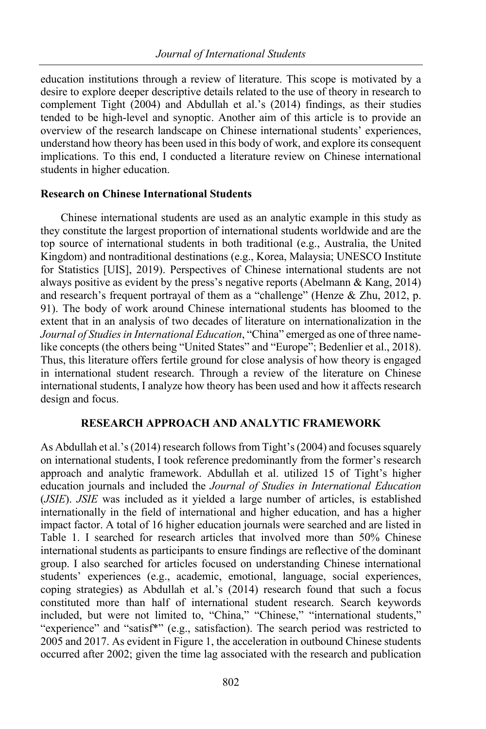education institutions through a review of literature. This scope is motivated by a desire to explore deeper descriptive details related to the use of theory in research to complement Tight (2004) and Abdullah et al.'s (2014) findings, as their studies tended to be high-level and synoptic. Another aim of this article is to provide an overview of the research landscape on Chinese international students' experiences, understand how theory has been used in this body of work, and explore its consequent implications. To this end, I conducted a literature review on Chinese international students in higher education.

#### **Research on Chinese International Students**

Chinese international students are used as an analytic example in this study as they constitute the largest proportion of international students worldwide and are the top source of international students in both traditional (e.g., Australia, the United Kingdom) and nontraditional destinations (e.g., Korea, Malaysia; UNESCO Institute for Statistics [UIS], 2019). Perspectives of Chinese international students are not always positive as evident by the press's negative reports (Abelmann & Kang, 2014) and research's frequent portrayal of them as a "challenge" (Henze & Zhu, 2012, p. 91). The body of work around Chinese international students has bloomed to the extent that in an analysis of two decades of literature on internationalization in the *Journal of Studies in International Education*, "China" emerged as one of three namelike concepts (the others being "United States" and "Europe"; Bedenlier et al., 2018). Thus, this literature offers fertile ground for close analysis of how theory is engaged in international student research. Through a review of the literature on Chinese international students, I analyze how theory has been used and how it affects research design and focus.

#### **RESEARCH APPROACH AND ANALYTIC FRAMEWORK**

As Abdullah et al.'s (2014) research follows from Tight's(2004) and focuses squarely on international students, I took reference predominantly from the former's research approach and analytic framework. Abdullah et al. utilized 15 of Tight's higher education journals and included the *Journal of Studies in International Education* (*JSIE*). *JSIE* was included as it yielded a large number of articles, is established internationally in the field of international and higher education, and has a higher impact factor. A total of 16 higher education journals were searched and are listed in Table 1. I searched for research articles that involved more than 50% Chinese international students as participants to ensure findings are reflective of the dominant group. I also searched for articles focused on understanding Chinese international students' experiences (e.g., academic, emotional, language, social experiences, coping strategies) as Abdullah et al.'s (2014) research found that such a focus constituted more than half of international student research. Search keywords included, but were not limited to, "China," "Chinese," "international students," "experience" and "satisf<sup>\*</sup>" (e.g., satisfaction). The search period was restricted to 2005 and 2017. As evident in Figure 1, the acceleration in outbound Chinese students occurred after 2002; given the time lag associated with the research and publication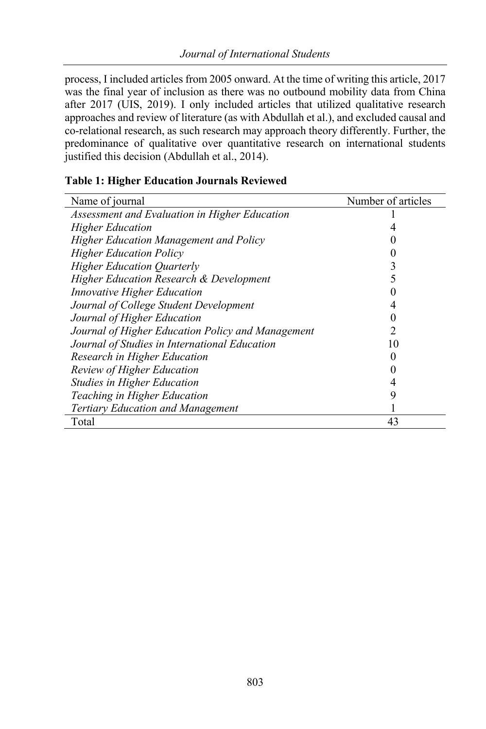process, I included articles from 2005 onward. At the time of writing this article, 2017 was the final year of inclusion as there was no outbound mobility data from China after 2017 (UIS, 2019). I only included articles that utilized qualitative research approaches and review of literature (as with Abdullah et al.), and excluded causal and co-relational research, as such research may approach theory differently. Further, the predominance of qualitative over quantitative research on international students justified this decision (Abdullah et al., 2014).

| Name of journal                                   | Number of articles |
|---------------------------------------------------|--------------------|
| Assessment and Evaluation in Higher Education     |                    |
| <b>Higher Education</b>                           |                    |
| Higher Education Management and Policy            |                    |
| <b>Higher Education Policy</b>                    |                    |
| <b>Higher Education Quarterly</b>                 |                    |
| Higher Education Research & Development           |                    |
| <i>Innovative Higher Education</i>                |                    |
| Journal of College Student Development            |                    |
| Journal of Higher Education                       |                    |
| Journal of Higher Education Policy and Management | 2                  |
| Journal of Studies in International Education     | 10                 |
| Research in Higher Education                      |                    |
| Review of Higher Education                        |                    |
| <b>Studies in Higher Education</b>                |                    |
| Teaching in Higher Education                      | g                  |
| <b>Tertiary Education and Management</b>          |                    |
| Total                                             | 43                 |

# **Table 1: Higher Education Journals Reviewed**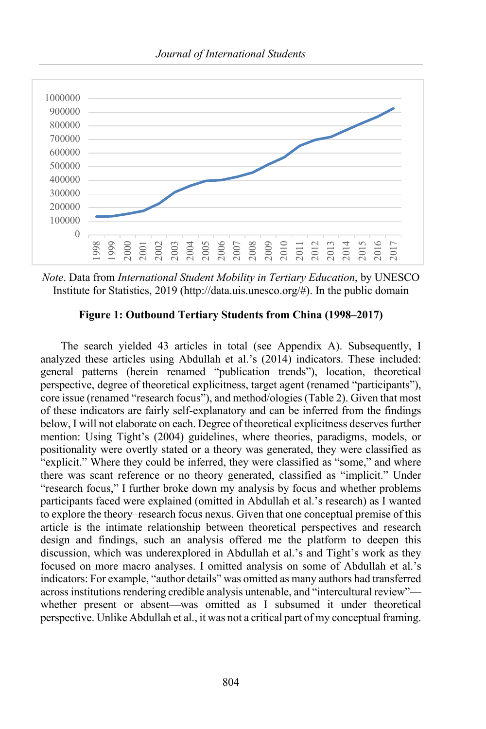

*Note*. Data from *International Student Mobility in Tertiary Education*, by UNESCO Institute for Statistics, 2019 (http://data.uis.unesco.org/#). In the public domain

## **Figure 1: Outbound Tertiary Students from China (1998–2017)**

The search yielded 43 articles in total (see Appendix A). Subsequently, I analyzed these articles using Abdullah et al.'s (2014) indicators. These included: general patterns (herein renamed "publication trends"), location, theoretical perspective, degree of theoretical explicitness, target agent (renamed "participants"), core issue (renamed "research focus"), and method/ologies (Table 2). Given that most of these indicators are fairly self-explanatory and can be inferred from the findings below, I will not elaborate on each. Degree of theoretical explicitness deserves further mention: Using Tight's (2004) guidelines, where theories, paradigms, models, or positionality were overtly stated or a theory was generated, they were classified as "explicit." Where they could be inferred, they were classified as "some," and where there was scant reference or no theory generated, classified as "implicit." Under "research focus," I further broke down my analysis by focus and whether problems participants faced were explained (omitted in Abdullah et al.'s research) as I wanted to explore the theory–research focus nexus. Given that one conceptual premise of this article is the intimate relationship between theoretical perspectives and research design and findings, such an analysis offered me the platform to deepen this discussion, which was underexplored in Abdullah et al.'s and Tight's work as they focused on more macro analyses. I omitted analysis on some of Abdullah et al.'s indicators: For example, "author details" was omitted as many authors had transferred across institutions rendering credible analysis untenable, and "intercultural review" whether present or absent—was omitted as I subsumed it under theoretical perspective. Unlike Abdullah et al., it was not a critical part of my conceptual framing.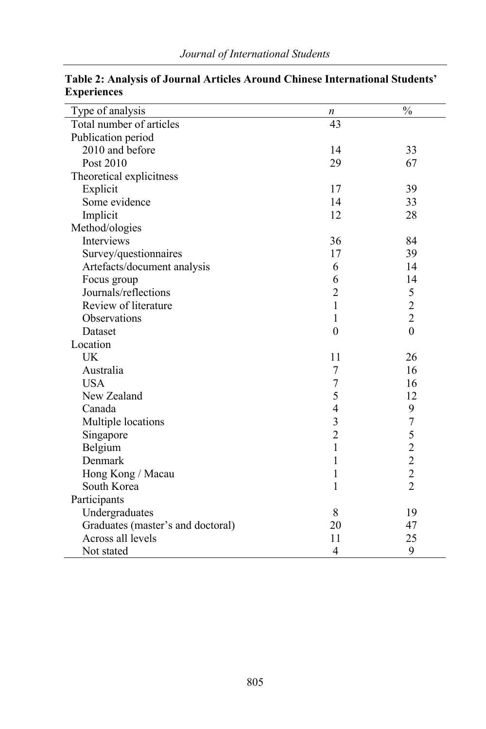| Type of analysis                  | n              | $\frac{1}{2}$                              |
|-----------------------------------|----------------|--------------------------------------------|
| Total number of articles          | 43             |                                            |
| Publication period                |                |                                            |
| 2010 and before                   | 14             | 33                                         |
| Post 2010                         | 29             | 67                                         |
| Theoretical explicitness          |                |                                            |
| Explicit                          | 17             | 39                                         |
| Some evidence                     | 14             | 33                                         |
| Implicit                          | 12             | 28                                         |
| Method/ologies                    |                |                                            |
| Interviews                        | 36             | 84                                         |
| Survey/questionnaires             | 17             | 39                                         |
| Artefacts/document analysis       | 6              | 14                                         |
| Focus group                       | 6              | 14                                         |
| Journals/reflections              | $\overline{2}$ | 5                                          |
| Review of literature              | 1              | $\frac{2}{2}$                              |
| Observations                      | 1              |                                            |
| Dataset                           | $\theta$       | $\overline{0}$                             |
| Location                          |                |                                            |
| <b>UK</b>                         | 11             | 26                                         |
| Australia                         | 7              | 16                                         |
| <b>USA</b>                        | 7              | 16                                         |
| New Zealand                       | 5              | 12                                         |
| Canada                            | $\overline{4}$ | 9                                          |
| Multiple locations                | 3              | $\overline{7}$                             |
| Singapore                         | $\overline{2}$ | 5                                          |
| Belgium                           | $\mathbf{1}$   |                                            |
| Denmark                           | 1              | $\begin{array}{c} 2 \\ 2 \\ 2 \end{array}$ |
| Hong Kong / Macau                 | 1              |                                            |
| South Korea                       | 1              | $\overline{2}$                             |
| Participants                      |                |                                            |
| Undergraduates                    | 8              | 19                                         |
| Graduates (master's and doctoral) | 20             | 47                                         |
| Across all levels                 | 11             | 25                                         |
| Not stated                        | 4              | 9                                          |

**Table 2: Analysis of Journal Articles Around Chinese International Students' Experiences**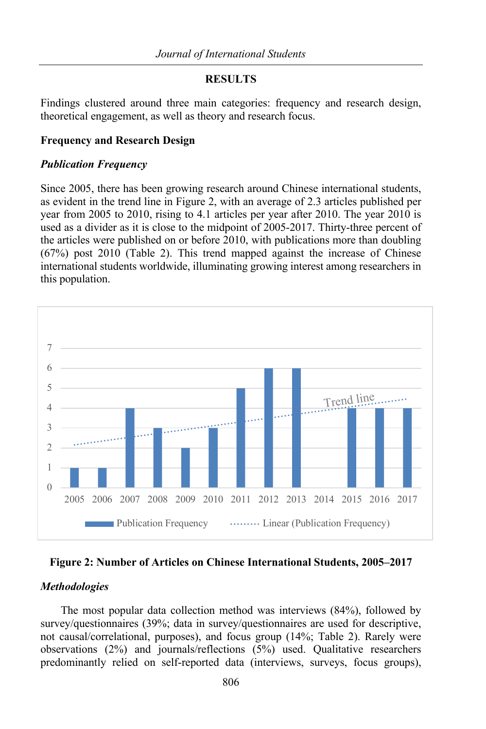## **RESULTS**

Findings clustered around three main categories: frequency and research design, theoretical engagement, as well as theory and research focus.

## **Frequency and Research Design**

#### *Publication Frequency*

Since 2005, there has been growing research around Chinese international students, as evident in the trend line in Figure 2, with an average of 2.3 articles published per year from 2005 to 2010, rising to 4.1 articles per year after 2010. The year 2010 is used as a divider as it is close to the midpoint of 2005-2017. Thirty-three percent of the articles were published on or before 2010, with publications more than doubling (67%) post 2010 (Table 2). This trend mapped against the increase of Chinese international students worldwide, illuminating growing interest among researchers in this population.



**Figure 2: Number of Articles on Chinese International Students, 2005–2017**

## *Methodologies*

The most popular data collection method was interviews (84%), followed by survey/questionnaires (39%; data in survey/questionnaires are used for descriptive, not causal/correlational, purposes), and focus group (14%; Table 2). Rarely were observations (2%) and journals/reflections (5%) used. Qualitative researchers predominantly relied on self-reported data (interviews, surveys, focus groups),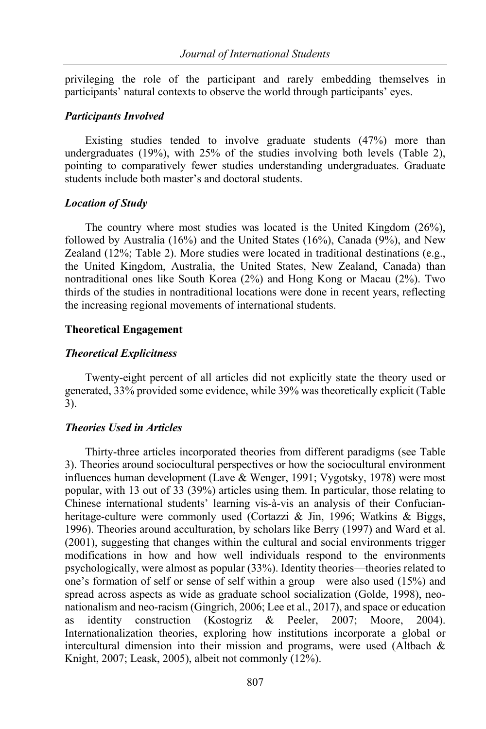privileging the role of the participant and rarely embedding themselves in participants' natural contexts to observe the world through participants' eyes.

#### *Participants Involved*

Existing studies tended to involve graduate students (47%) more than undergraduates (19%), with 25% of the studies involving both levels (Table 2), pointing to comparatively fewer studies understanding undergraduates. Graduate students include both master's and doctoral students.

#### *Location of Study*

The country where most studies was located is the United Kingdom (26%), followed by Australia (16%) and the United States (16%), Canada (9%), and New Zealand (12%; Table 2). More studies were located in traditional destinations (e.g., the United Kingdom, Australia, the United States, New Zealand, Canada) than nontraditional ones like South Korea (2%) and Hong Kong or Macau (2%). Two thirds of the studies in nontraditional locations were done in recent years, reflecting the increasing regional movements of international students.

#### **Theoretical Engagement**

#### *Theoretical Explicitness*

Twenty-eight percent of all articles did not explicitly state the theory used or generated, 33% provided some evidence, while 39% was theoretically explicit (Table 3).

#### *Theories Used in Articles*

Thirty-three articles incorporated theories from different paradigms (see Table 3). Theories around sociocultural perspectives or how the sociocultural environment influences human development (Lave & Wenger, 1991; Vygotsky, 1978) were most popular, with 13 out of 33 (39%) articles using them. In particular, those relating to Chinese international students' learning vis-à-vis an analysis of their Confucianheritage-culture were commonly used (Cortazzi & Jin, 1996; Watkins & Biggs, 1996). Theories around acculturation, by scholars like Berry (1997) and Ward et al. (2001), suggesting that changes within the cultural and social environments trigger modifications in how and how well individuals respond to the environments psychologically, were almost as popular (33%). Identity theories—theories related to one's formation of self or sense of self within a group—were also used (15%) and spread across aspects as wide as graduate school socialization (Golde, 1998), neonationalism and neo-racism (Gingrich, 2006; Lee et al., 2017), and space or education as identity construction (Kostogriz & Peeler, 2007; Moore, 2004). Internationalization theories, exploring how institutions incorporate a global or intercultural dimension into their mission and programs, were used (Altbach & Knight, 2007; Leask, 2005), albeit not commonly (12%).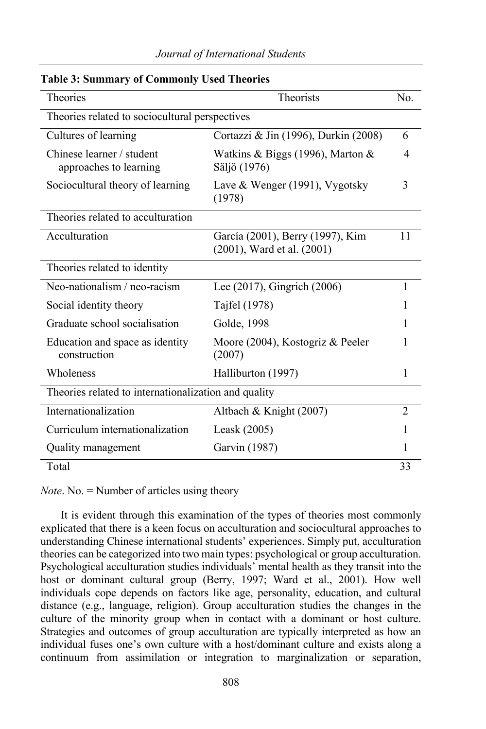| <b>Theories</b>                                      | <b>Theorists</b><br>No.                                        |                          |  |  |
|------------------------------------------------------|----------------------------------------------------------------|--------------------------|--|--|
| Theories related to sociocultural perspectives       |                                                                |                          |  |  |
| Cultures of learning                                 | Cortazzi & Jin (1996), Durkin (2008)                           |                          |  |  |
| Chinese learner / student<br>approaches to learning  | Watkins & Biggs (1996), Marton &<br>Säljö (1976)               | $\overline{\mathcal{L}}$ |  |  |
| Sociocultural theory of learning                     | Lave & Wenger (1991), Vygotsky<br>(1978)                       | 3                        |  |  |
| Theories related to acculturation                    |                                                                |                          |  |  |
| Acculturation                                        | García (2001), Berry (1997), Kim<br>(2001), Ward et al. (2001) | 11                       |  |  |
| Theories related to identity                         |                                                                |                          |  |  |
| Neo-nationalism / neo-racism                         | Lee (2017), Gingrich (2006)                                    | 1                        |  |  |
| Social identity theory                               | Tajfel (1978)                                                  | 1                        |  |  |
| Graduate school socialisation                        | Golde, 1998                                                    | 1                        |  |  |
| Education and space as identity<br>construction      | Moore (2004), Kostogriz & Peeler<br>(2007)                     |                          |  |  |
| Wholeness                                            | Halliburton (1997)                                             | 1                        |  |  |
| Theories related to internationalization and quality |                                                                |                          |  |  |
| Internationalization                                 | Altbach & Knight (2007)                                        | $\overline{2}$           |  |  |
| Curriculum internationalization                      | Leask $(2005)$                                                 | 1                        |  |  |
| Quality management                                   | Garvin (1987)                                                  | 1                        |  |  |
| Total                                                |                                                                | 33                       |  |  |

## **Table 3: Summary of Commonly Used Theories**

*Note*. No. = Number of articles using theory

It is evident through this examination of the types of theories most commonly explicated that there is a keen focus on acculturation and sociocultural approaches to understanding Chinese international students' experiences. Simply put, acculturation theories can be categorized into two main types: psychological or group acculturation. Psychological acculturation studies individuals' mental health as they transit into the host or dominant cultural group (Berry, 1997; Ward et al., 2001). How well individuals cope depends on factors like age, personality, education, and cultural distance (e.g., language, religion). Group acculturation studies the changes in the culture of the minority group when in contact with a dominant or host culture. Strategies and outcomes of group acculturation are typically interpreted as how an individual fuses one's own culture with a host/dominant culture and exists along a continuum from assimilation or integration to marginalization or separation,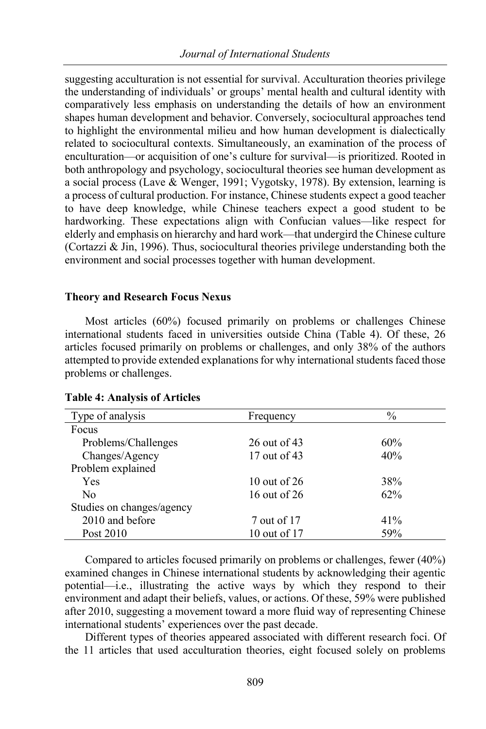suggesting acculturation is not essential for survival. Acculturation theories privilege the understanding of individuals' or groups' mental health and cultural identity with comparatively less emphasis on understanding the details of how an environment shapes human development and behavior. Conversely, sociocultural approaches tend to highlight the environmental milieu and how human development is dialectically related to sociocultural contexts. Simultaneously, an examination of the process of enculturation—or acquisition of one's culture for survival—is prioritized. Rooted in both anthropology and psychology, sociocultural theories see human development as a social process (Lave & Wenger, 1991; Vygotsky, 1978). By extension, learning is a process of cultural production. For instance, Chinese students expect a good teacher to have deep knowledge, while Chinese teachers expect a good student to be hardworking. These expectations align with Confucian values—like respect for elderly and emphasis on hierarchy and hard work—that undergird the Chinese culture (Cortazzi  $\&$  Jin, 1996). Thus, sociocultural theories privilege understanding both the environment and social processes together with human development.

#### **Theory and Research Focus Nexus**

Most articles (60%) focused primarily on problems or challenges Chinese international students faced in universities outside China (Table 4). Of these, 26 articles focused primarily on problems or challenges, and only 38% of the authors attempted to provide extended explanations for why international students faced those problems or challenges.

| Type of analysis          | Frequency      | $\frac{0}{0}$ |
|---------------------------|----------------|---------------|
| Focus                     |                |               |
| Problems/Challenges       | 26 out of 43   | 60%           |
| Changes/Agency            | 17 out of 43   | 40%           |
| Problem explained         |                |               |
| <b>Yes</b>                | 10 out of $26$ | 38%           |
| No                        | 16 out of 26   | $62\%$        |
| Studies on changes/agency |                |               |
| 2010 and before           | 7 out of 17    | 41%           |
| Post 2010                 | 10 out of 17   | 59%           |

## **Table 4: Analysis of Articles**

Compared to articles focused primarily on problems or challenges, fewer (40%) examined changes in Chinese international students by acknowledging their agentic potential—i.e., illustrating the active ways by which they respond to their environment and adapt their beliefs, values, or actions. Of these, 59% were published after 2010, suggesting a movement toward a more fluid way of representing Chinese international students' experiences over the past decade.

Different types of theories appeared associated with different research foci. Of the 11 articles that used acculturation theories, eight focused solely on problems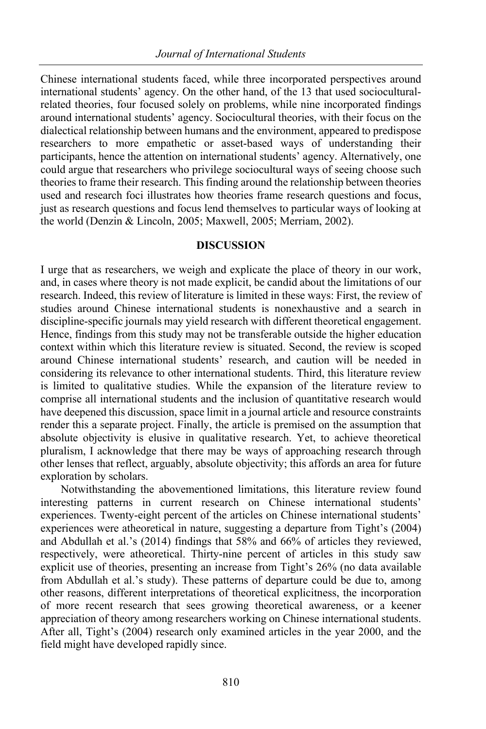Chinese international students faced, while three incorporated perspectives around international students' agency. On the other hand, of the 13 that used socioculturalrelated theories, four focused solely on problems, while nine incorporated findings around international students' agency. Sociocultural theories, with their focus on the dialectical relationship between humans and the environment, appeared to predispose researchers to more empathetic or asset-based ways of understanding their participants, hence the attention on international students' agency. Alternatively, one could argue that researchers who privilege sociocultural ways of seeing choose such theories to frame their research. This finding around the relationship between theories used and research foci illustrates how theories frame research questions and focus, just as research questions and focus lend themselves to particular ways of looking at the world (Denzin & Lincoln, 2005; Maxwell, 2005; Merriam, 2002).

## **DISCUSSION**

I urge that as researchers, we weigh and explicate the place of theory in our work, and, in cases where theory is not made explicit, be candid about the limitations of our research. Indeed, this review of literature is limited in these ways: First, the review of studies around Chinese international students is nonexhaustive and a search in discipline-specific journals may yield research with different theoretical engagement. Hence, findings from this study may not be transferable outside the higher education context within which this literature review is situated. Second, the review is scoped around Chinese international students' research, and caution will be needed in considering its relevance to other international students. Third, this literature review is limited to qualitative studies. While the expansion of the literature review to comprise all international students and the inclusion of quantitative research would have deepened this discussion, space limit in a journal article and resource constraints render this a separate project. Finally, the article is premised on the assumption that absolute objectivity is elusive in qualitative research. Yet, to achieve theoretical pluralism, I acknowledge that there may be ways of approaching research through other lenses that reflect, arguably, absolute objectivity; this affords an area for future exploration by scholars.

Notwithstanding the abovementioned limitations, this literature review found interesting patterns in current research on Chinese international students' experiences. Twenty-eight percent of the articles on Chinese international students' experiences were atheoretical in nature, suggesting a departure from Tight's (2004) and Abdullah et al.'s (2014) findings that 58% and 66% of articles they reviewed, respectively, were atheoretical. Thirty-nine percent of articles in this study saw explicit use of theories, presenting an increase from Tight's 26% (no data available from Abdullah et al.'s study). These patterns of departure could be due to, among other reasons, different interpretations of theoretical explicitness, the incorporation of more recent research that sees growing theoretical awareness, or a keener appreciation of theory among researchers working on Chinese international students. After all, Tight's (2004) research only examined articles in the year 2000, and the field might have developed rapidly since.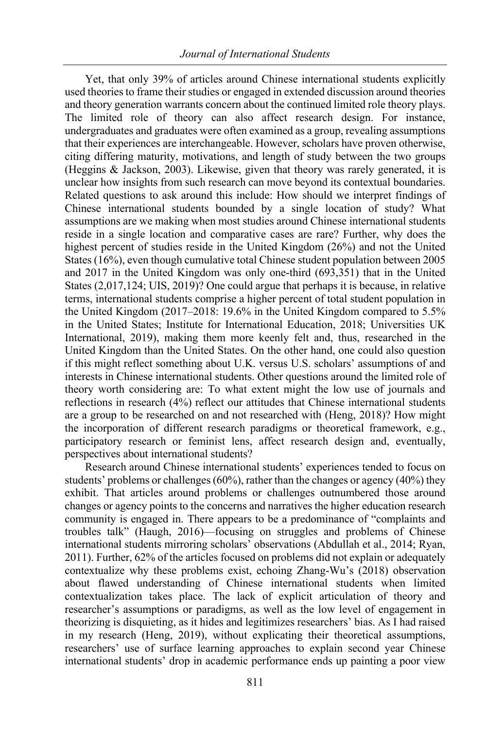Yet, that only 39% of articles around Chinese international students explicitly used theories to frame their studies or engaged in extended discussion around theories and theory generation warrants concern about the continued limited role theory plays. The limited role of theory can also affect research design. For instance, undergraduates and graduates were often examined as a group, revealing assumptions that their experiences are interchangeable. However, scholars have proven otherwise, citing differing maturity, motivations, and length of study between the two groups (Heggins & Jackson, 2003). Likewise, given that theory was rarely generated, it is unclear how insights from such research can move beyond its contextual boundaries. Related questions to ask around this include: How should we interpret findings of Chinese international students bounded by a single location of study? What assumptions are we making when most studies around Chinese international students reside in a single location and comparative cases are rare? Further, why does the highest percent of studies reside in the United Kingdom (26%) and not the United States (16%), even though cumulative total Chinese student population between 2005 and 2017 in the United Kingdom was only one-third (693,351) that in the United States (2,017,124; UIS, 2019)? One could argue that perhaps it is because, in relative terms, international students comprise a higher percent of total student population in the United Kingdom (2017–2018: 19.6% in the United Kingdom compared to 5.5% in the United States; Institute for International Education, 2018; Universities UK International, 2019), making them more keenly felt and, thus, researched in the United Kingdom than the United States. On the other hand, one could also question if this might reflect something about U.K. versus U.S. scholars' assumptions of and interests in Chinese international students. Other questions around the limited role of theory worth considering are: To what extent might the low use of journals and reflections in research (4%) reflect our attitudes that Chinese international students are a group to be researched on and not researched with (Heng, 2018)? How might the incorporation of different research paradigms or theoretical framework, e.g., participatory research or feminist lens, affect research design and, eventually, perspectives about international students?

Research around Chinese international students' experiences tended to focus on students' problems or challenges  $(60\%)$ , rather than the changes or agency  $(40\%)$  they exhibit. That articles around problems or challenges outnumbered those around changes or agency points to the concerns and narratives the higher education research community is engaged in. There appears to be a predominance of "complaints and troubles talk" (Haugh, 2016)—focusing on struggles and problems of Chinese international students mirroring scholars' observations (Abdullah et al., 2014; Ryan, 2011). Further, 62% of the articles focused on problems did not explain or adequately contextualize why these problems exist, echoing Zhang-Wu's (2018) observation about flawed understanding of Chinese international students when limited contextualization takes place. The lack of explicit articulation of theory and researcher's assumptions or paradigms, as well as the low level of engagement in theorizing is disquieting, as it hides and legitimizes researchers' bias. As I had raised in my research (Heng, 2019), without explicating their theoretical assumptions, researchers' use of surface learning approaches to explain second year Chinese international students' drop in academic performance ends up painting a poor view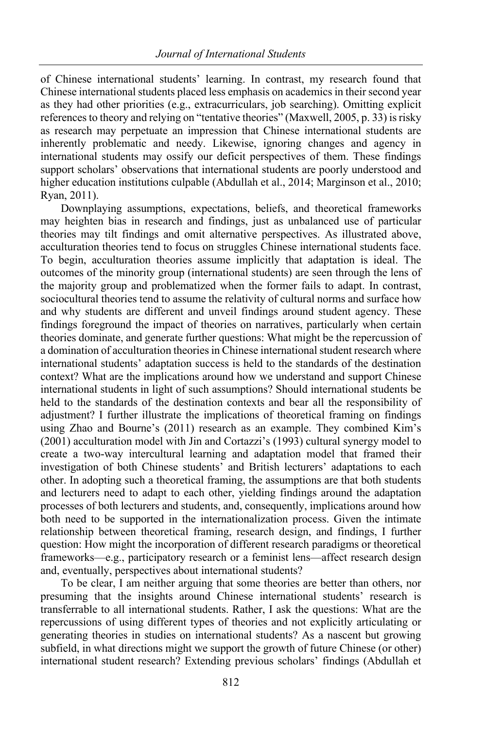of Chinese international students' learning. In contrast, my research found that Chinese international students placed less emphasis on academics in their second year as they had other priorities (e.g., extracurriculars, job searching). Omitting explicit references to theory and relying on "tentative theories" (Maxwell, 2005, p. 33) is risky as research may perpetuate an impression that Chinese international students are inherently problematic and needy. Likewise, ignoring changes and agency in international students may ossify our deficit perspectives of them. These findings support scholars' observations that international students are poorly understood and higher education institutions culpable (Abdullah et al., 2014; Marginson et al., 2010; Ryan, 2011).

Downplaying assumptions, expectations, beliefs, and theoretical frameworks may heighten bias in research and findings, just as unbalanced use of particular theories may tilt findings and omit alternative perspectives. As illustrated above, acculturation theories tend to focus on struggles Chinese international students face. To begin, acculturation theories assume implicitly that adaptation is ideal. The outcomes of the minority group (international students) are seen through the lens of the majority group and problematized when the former fails to adapt. In contrast, sociocultural theories tend to assume the relativity of cultural norms and surface how and why students are different and unveil findings around student agency. These findings foreground the impact of theories on narratives, particularly when certain theories dominate, and generate further questions: What might be the repercussion of a domination of acculturation theories in Chinese international student research where international students' adaptation success is held to the standards of the destination context? What are the implications around how we understand and support Chinese international students in light of such assumptions? Should international students be held to the standards of the destination contexts and bear all the responsibility of adjustment? I further illustrate the implications of theoretical framing on findings using Zhao and Bourne's (2011) research as an example. They combined Kim's (2001) acculturation model with Jin and Cortazzi's (1993) cultural synergy model to create a two-way intercultural learning and adaptation model that framed their investigation of both Chinese students' and British lecturers' adaptations to each other. In adopting such a theoretical framing, the assumptions are that both students and lecturers need to adapt to each other, yielding findings around the adaptation processes of both lecturers and students, and, consequently, implications around how both need to be supported in the internationalization process. Given the intimate relationship between theoretical framing, research design, and findings, I further question: How might the incorporation of different research paradigms or theoretical frameworks—e.g., participatory research or a feminist lens—affect research design and, eventually, perspectives about international students?

To be clear, I am neither arguing that some theories are better than others, nor presuming that the insights around Chinese international students' research is transferrable to all international students. Rather, I ask the questions: What are the repercussions of using different types of theories and not explicitly articulating or generating theories in studies on international students? As a nascent but growing subfield, in what directions might we support the growth of future Chinese (or other) international student research? Extending previous scholars' findings (Abdullah et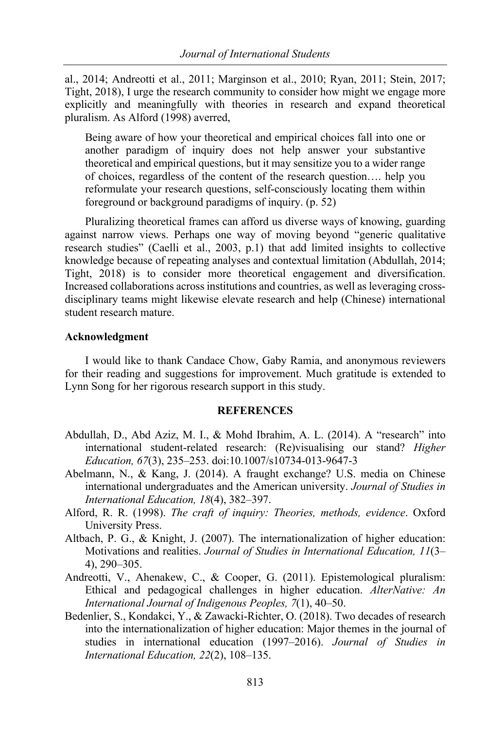al., 2014; Andreotti et al., 2011; Marginson et al., 2010; Ryan, 2011; Stein, 2017; Tight, 2018), I urge the research community to consider how might we engage more explicitly and meaningfully with theories in research and expand theoretical pluralism. As Alford (1998) averred,

Being aware of how your theoretical and empirical choices fall into one or another paradigm of inquiry does not help answer your substantive theoretical and empirical questions, but it may sensitize you to a wider range of choices, regardless of the content of the research question…. help you reformulate your research questions, self-consciously locating them within foreground or background paradigms of inquiry. (p. 52)

Pluralizing theoretical frames can afford us diverse ways of knowing, guarding against narrow views. Perhaps one way of moving beyond "generic qualitative research studies" (Caelli et al., 2003, p.1) that add limited insights to collective knowledge because of repeating analyses and contextual limitation (Abdullah, 2014; Tight, 2018) is to consider more theoretical engagement and diversification. Increased collaborations across institutions and countries, as well as leveraging crossdisciplinary teams might likewise elevate research and help (Chinese) international student research mature.

## **Acknowledgment**

I would like to thank Candace Chow, Gaby Ramia, and anonymous reviewers for their reading and suggestions for improvement. Much gratitude is extended to Lynn Song for her rigorous research support in this study.

## **REFERENCES**

- Abdullah, D., Abd Aziz, M. I., & Mohd Ibrahim, A. L. (2014). A "research" into international student-related research: (Re)visualising our stand? *Higher Education, 67*(3), 235–253. doi:10.1007/s10734-013-9647-3
- Abelmann, N., & Kang, J. (2014). A fraught exchange? U.S. media on Chinese international undergraduates and the American university. *Journal of Studies in International Education, 18*(4), 382–397.
- Alford, R. R. (1998). *The craft of inquiry: Theories, methods, evidence*. Oxford University Press.
- Altbach, P. G., & Knight, J. (2007). The internationalization of higher education: Motivations and realities. *Journal of Studies in International Education, 11*(3– 4), 290–305.
- Andreotti, V., Ahenakew, C., & Cooper, G. (2011). Epistemological pluralism: Ethical and pedagogical challenges in higher education. *AlterNative: An International Journal of Indigenous Peoples, 7*(1), 40–50.
- Bedenlier, S., Kondakci, Y., & Zawacki-Richter, O. (2018). Two decades of research into the internationalization of higher education: Major themes in the journal of studies in international education (1997–2016). *Journal of Studies in International Education, 22*(2), 108–135.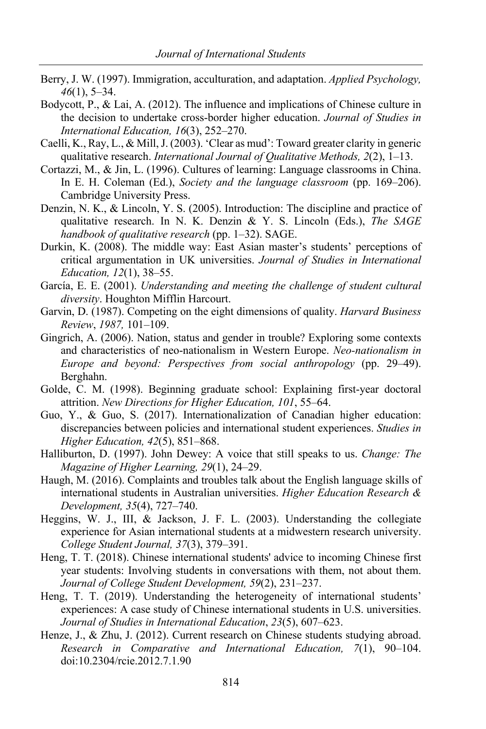- Berry, J. W. (1997). Immigration, acculturation, and adaptation. *Applied Psychology, 46*(1), 5–34.
- Bodycott, P., & Lai, A. (2012). The influence and implications of Chinese culture in the decision to undertake cross-border higher education. *Journal of Studies in International Education, 16*(3), 252–270.
- Caelli, K., Ray, L., & Mill, J. (2003). 'Clear as mud': Toward greater clarity in generic qualitative research. *International Journal of Qualitative Methods, 2*(2), 1–13.
- Cortazzi, M., & Jin, L. (1996). Cultures of learning: Language classrooms in China. In E. H. Coleman (Ed.), *Society and the language classroom* (pp. 169–206). Cambridge University Press.
- Denzin, N. K., & Lincoln, Y. S. (2005). Introduction: The discipline and practice of qualitative research. In N. K. Denzin & Y. S. Lincoln (Eds.), *The SAGE handbook of qualitative research* (pp. 1–32). SAGE.
- Durkin, K. (2008). The middle way: East Asian master's students' perceptions of critical argumentation in UK universities. *Journal of Studies in International Education, 12*(1), 38–55.
- García, E. E. (2001). *Understanding and meeting the challenge of student cultural diversity*. Houghton Mifflin Harcourt.
- Garvin, D. (1987). Competing on the eight dimensions of quality. *Harvard Business Review*, *1987,* 101–109.
- Gingrich, A. (2006). Nation, status and gender in trouble? Exploring some contexts and characteristics of neo-nationalism in Western Europe. *Neo-nationalism in Europe and beyond: Perspectives from social anthropology* (pp. 29–49). Berghahn.
- Golde, C. M. (1998). Beginning graduate school: Explaining first‐year doctoral attrition. *New Directions for Higher Education, 101*, 55–64.
- Guo, Y., & Guo, S. (2017). Internationalization of Canadian higher education: discrepancies between policies and international student experiences. *Studies in Higher Education, 42*(5), 851–868.
- Halliburton, D. (1997). John Dewey: A voice that still speaks to us. *Change: The Magazine of Higher Learning, 29*(1), 24–29.
- Haugh, M. (2016). Complaints and troubles talk about the English language skills of international students in Australian universities. *Higher Education Research & Development, 35*(4), 727–740.
- Heggins, W. J., III, & Jackson, J. F. L. (2003). Understanding the collegiate experience for Asian international students at a midwestern research university. *College Student Journal, 37*(3), 379–391.
- Heng, T. T. (2018). Chinese international students' advice to incoming Chinese first year students: Involving students in conversations with them, not about them. *Journal of College Student Development, 59*(2), 231–237.
- Heng, T. T. (2019). Understanding the heterogeneity of international students' experiences: A case study of Chinese international students in U.S. universities. *Journal of Studies in International Education*, *23*(5), 607–623.
- Henze, J., & Zhu, J. (2012). Current research on Chinese students studying abroad. *Research in Comparative and International Education, 7*(1), 90–104. doi:10.2304/rcie.2012.7.1.90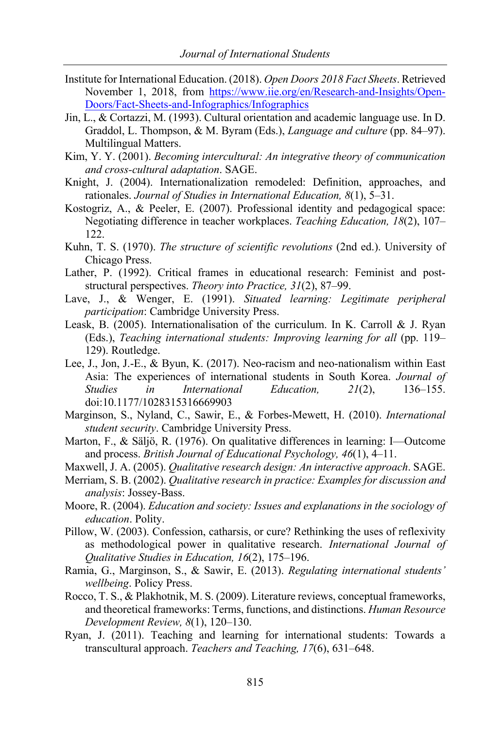- Institute for International Education. (2018). *Open Doors 2018 Fact Sheets*. Retrieved November 1, 2018, from https://www.iie.org/en/Research-and-Insights/Open-Doors/Fact-Sheets-and-Infographics/Infographics
- Jin, L., & Cortazzi, M. (1993). Cultural orientation and academic language use. In D. Graddol, L. Thompson, & M. Byram (Eds.), *Language and culture* (pp. 84–97). Multilingual Matters.
- Kim, Y. Y. (2001). *Becoming intercultural: An integrative theory of communication and cross-cultural adaptation*. SAGE.
- Knight, J. (2004). Internationalization remodeled: Definition, approaches, and rationales. *Journal of Studies in International Education, 8*(1), 5–31.
- Kostogriz, A., & Peeler, E. (2007). Professional identity and pedagogical space: Negotiating difference in teacher workplaces. *Teaching Education, 18*(2), 107– 122.
- Kuhn, T. S. (1970). *The structure of scientific revolutions* (2nd ed.). University of Chicago Press.
- Lather, P. (1992). Critical frames in educational research: Feminist and poststructural perspectives. *Theory into Practice, 31*(2), 87–99.
- Lave, J., & Wenger, E. (1991). *Situated learning: Legitimate peripheral participation*: Cambridge University Press.
- Leask, B. (2005). Internationalisation of the curriculum. In K. Carroll & J. Ryan (Eds.), *Teaching international students: Improving learning for all* (pp. 119– 129). Routledge.
- Lee, J., Jon, J.-E., & Byun, K. (2017). Neo-racism and neo-nationalism within East Asia: The experiences of international students in South Korea. *Journal of Studies in International Education, 21*(2), 136–155. doi:10.1177/1028315316669903
- Marginson, S., Nyland, C., Sawir, E., & Forbes-Mewett, H. (2010). *International student security*. Cambridge University Press.
- Marton, F., & Säljö, R. (1976). On qualitative differences in learning: I—Outcome and process. *British Journal of Educational Psychology, 46*(1), 4–11.
- Maxwell, J. A. (2005). *Qualitative research design: An interactive approach*. SAGE.
- Merriam, S. B. (2002). *Qualitative research in practice: Examples for discussion and analysis*: Jossey-Bass.
- Moore, R. (2004). *Education and society: Issues and explanations in the sociology of education*. Polity.
- Pillow, W. (2003). Confession, catharsis, or cure? Rethinking the uses of reflexivity as methodological power in qualitative research. *International Journal of Qualitative Studies in Education, 16*(2), 175–196.
- Ramia, G., Marginson, S., & Sawir, E. (2013). *Regulating international students' wellbeing*. Policy Press.
- Rocco, T. S., & Plakhotnik, M. S. (2009). Literature reviews, conceptual frameworks, and theoretical frameworks: Terms, functions, and distinctions. *Human Resource Development Review, 8*(1), 120–130.
- Ryan, J. (2011). Teaching and learning for international students: Towards a transcultural approach. *Teachers and Teaching, 17*(6), 631–648.